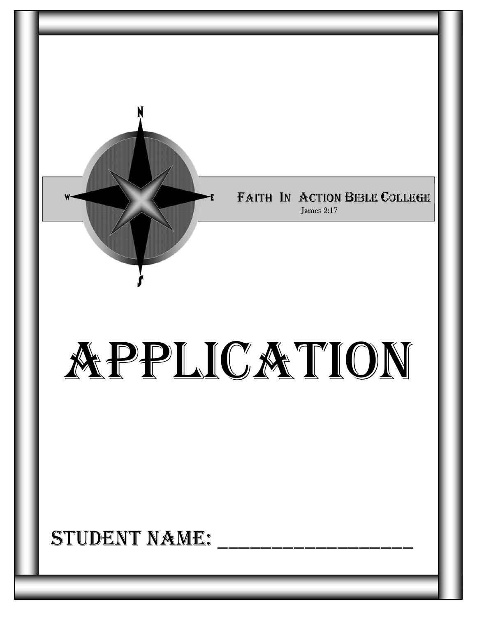

## STUDENT NAME: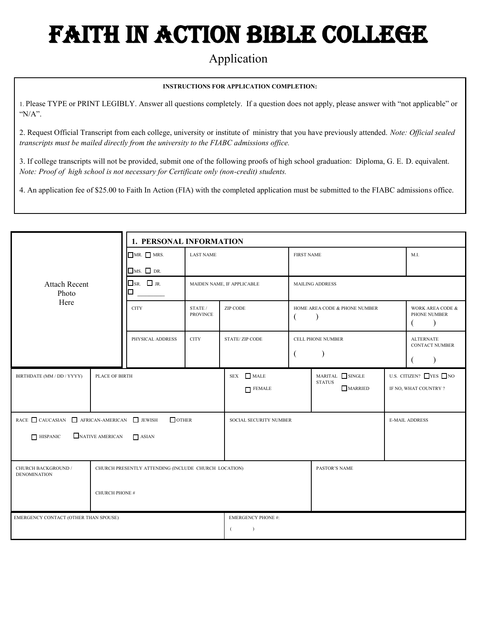# Faith In Action Bible College

### Application

#### **INSTRUCTIONS FOR APPLICATION COMPLETION:**

1. Please TYPE or PRINT LEGIBLY. Answer all questions completely. If a question does not apply, please answer with "not applicable" or "N/A".

2. Request Official Transcript from each college, university or institute of ministry that you have previously attended. *Note: Official sealed transcripts must be mailed directly from the university to the FIABC admissions office.*

3. If college transcripts will not be provided, submit one of the following proofs of high school graduation: Diploma, G. E. D. equivalent. *Note: Proof of high school is not necessary for Certificate only (non-credit) students.*

4. An application fee of \$25.00 to Faith In Action (FIA) with the completed application must be submitted to the FIABC admissions office.

|                                                                                                    |  | 1. PERSONAL INFORMATION     |                            |                                                                                                          |                               |                                    |                                               |                                           |
|----------------------------------------------------------------------------------------------------|--|-----------------------------|----------------------------|----------------------------------------------------------------------------------------------------------|-------------------------------|------------------------------------|-----------------------------------------------|-------------------------------------------|
| <b>Attach Recent</b><br>Photo<br>Here                                                              |  | MR. MRS.                    | <b>LAST NAME</b>           | <b>FIRST NAME</b>                                                                                        |                               |                                    |                                               | M.I.                                      |
|                                                                                                    |  | $\Box$ MS. $\Box$ DR.       |                            |                                                                                                          |                               |                                    |                                               |                                           |
|                                                                                                    |  | $\square$ SR. $\square$ JR. | MAIDEN NAME, IF APPLICABLE |                                                                                                          | <b>MAILING ADDRESS</b>        |                                    |                                               |                                           |
|                                                                                                    |  | <b>CITY</b>                 | STATE /<br><b>PROVINCE</b> | ZIP CODE                                                                                                 | HOME AREA CODE & PHONE NUMBER |                                    | WORK AREA CODE &<br>PHONE NUMBER<br>$\lambda$ |                                           |
|                                                                                                    |  | PHYSICAL ADDRESS            | <b>CITY</b>                | <b>STATE/ZIP CODE</b>                                                                                    |                               | CELL PHONE NUMBER                  |                                               | <b>ALTERNATE</b><br><b>CONTACT NUMBER</b> |
| BIRTHDATE (MM / DD / YYYY)<br>PLACE OF BIRTH                                                       |  | SEX MALE<br>$\Box$ FEMALE   |                            | $\label{eq:snr} \text{MARITAL} \quad \text{SINGLE}$<br><b>STATUS</b><br>MARRIED<br>IF NO, WHAT COUNTRY ? |                               | U.S. CITIZEN? $\Box$ YES $\Box$ NO |                                               |                                           |
|                                                                                                    |  | $\Box$ OTHER                |                            |                                                                                                          | SOCIAL SECURITY NUMBER        |                                    |                                               | <b>E-MAIL ADDRESS</b>                     |
| NATIVE AMERICAN<br>$\Box$ HISPANIC<br>$\Box$ ASIAN                                                 |  |                             |                            |                                                                                                          |                               |                                    |                                               |                                           |
| CHURCH BACKGROUND /<br>CHURCH PRESENTLY ATTENDING (INCLUDE CHURCH LOCATION)<br><b>DENOMINATION</b> |  |                             |                            |                                                                                                          | PASTOR'S NAME                 |                                    |                                               |                                           |
| <b>CHURCH PHONE #</b>                                                                              |  |                             |                            |                                                                                                          |                               |                                    |                                               |                                           |
| EMERGENCY CONTACT (OTHER THAN SPOUSE)                                                              |  |                             | <b>EMERGENCY PHONE #:</b>  |                                                                                                          |                               |                                    |                                               |                                           |
|                                                                                                    |  |                             |                            |                                                                                                          |                               |                                    |                                               |                                           |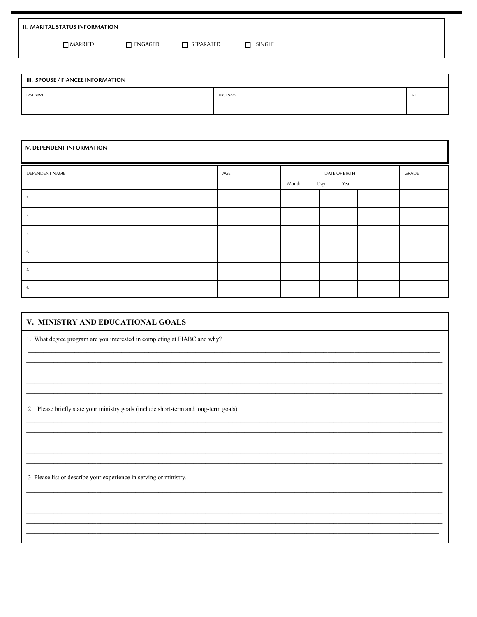| II. MARITAL STATUS INFORMATION |                |                  |        |  |
|--------------------------------|----------------|------------------|--------|--|
| $\Box$ MARRIED                 | $\Box$ engaged | $\Box$ SEPARATED | SINGLE |  |

| III. SPOUSE / FIANCEE INFORMATION |                   |      |  |  |  |
|-----------------------------------|-------------------|------|--|--|--|
| <b>LAST NAME</b>                  | <b>FIRST NAME</b> | M.I. |  |  |  |
|                                   |                   |      |  |  |  |

| IV. DEPENDENT INFORMATION |     |       |                              |  |       |
|---------------------------|-----|-------|------------------------------|--|-------|
| DEPENDENT NAME            | AGE | Month | DATE OF BIRTH<br>Year<br>Day |  | GRADE |
|                           |     |       |                              |  |       |
|                           |     |       |                              |  |       |
| 3.                        |     |       |                              |  |       |
|                           |     |       |                              |  |       |
| 5.                        |     |       |                              |  |       |
| 6.                        |     |       |                              |  |       |

| V. MINISTRY AND EDUCATIONAL GOALS                                                     |  |  |  |  |
|---------------------------------------------------------------------------------------|--|--|--|--|
| 1. What degree program are you interested in completing at FIABC and why?             |  |  |  |  |
|                                                                                       |  |  |  |  |
|                                                                                       |  |  |  |  |
|                                                                                       |  |  |  |  |
| 2. Please briefly state your ministry goals (include short-term and long-term goals). |  |  |  |  |
|                                                                                       |  |  |  |  |
|                                                                                       |  |  |  |  |
|                                                                                       |  |  |  |  |
| 3. Please list or describe your experience in serving or ministry.                    |  |  |  |  |
|                                                                                       |  |  |  |  |
|                                                                                       |  |  |  |  |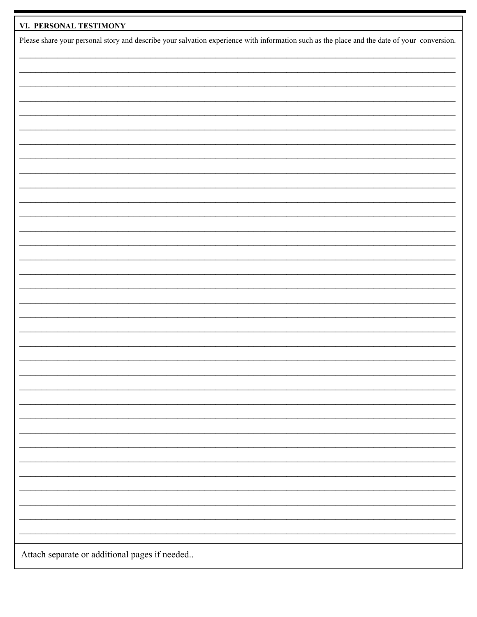| VI. PERSONAL TESTIMONY                                                                                                                      |
|---------------------------------------------------------------------------------------------------------------------------------------------|
| Please share your personal story and describe your salvation experience with information such as the place and the date of your conversion. |
|                                                                                                                                             |
|                                                                                                                                             |
|                                                                                                                                             |
|                                                                                                                                             |
|                                                                                                                                             |
|                                                                                                                                             |
|                                                                                                                                             |
|                                                                                                                                             |
|                                                                                                                                             |
|                                                                                                                                             |
|                                                                                                                                             |
|                                                                                                                                             |
|                                                                                                                                             |
|                                                                                                                                             |
|                                                                                                                                             |
|                                                                                                                                             |
|                                                                                                                                             |
|                                                                                                                                             |
|                                                                                                                                             |
|                                                                                                                                             |
|                                                                                                                                             |
|                                                                                                                                             |
|                                                                                                                                             |
|                                                                                                                                             |
|                                                                                                                                             |
| Attach separate or additional pages if needed                                                                                               |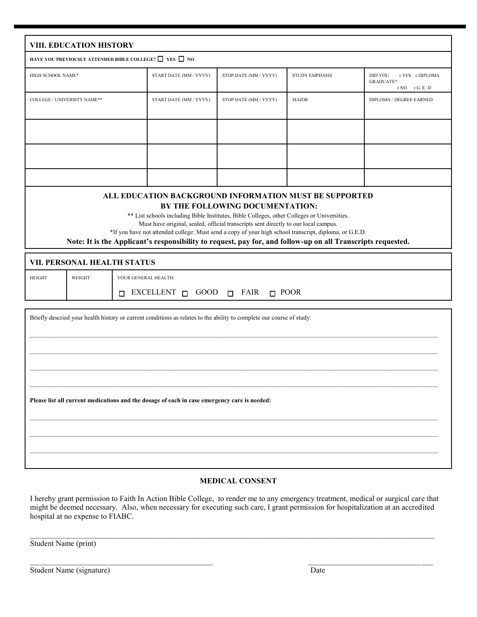|                                                                                                                                                                                                                                                                                                                                                                                                                                                                                                          | VIII. EDUCATION HISTORY     |                                                                                  |                        |                       |                       |                                                                   |  |
|----------------------------------------------------------------------------------------------------------------------------------------------------------------------------------------------------------------------------------------------------------------------------------------------------------------------------------------------------------------------------------------------------------------------------------------------------------------------------------------------------------|-----------------------------|----------------------------------------------------------------------------------|------------------------|-----------------------|-----------------------|-------------------------------------------------------------------|--|
| HAVE YOU PREVIOUSLY ATTENDED BIBLE COLLEGE? $\Box\;$ YES $\;\Box\;$ NO                                                                                                                                                                                                                                                                                                                                                                                                                                   |                             |                                                                                  |                        |                       |                       |                                                                   |  |
| HIGH SCHOOL NAME*                                                                                                                                                                                                                                                                                                                                                                                                                                                                                        |                             |                                                                                  | START DATE (MM / YYYY) | STOP DATE (MM / YYYY) | <b>STUDY EMPHASIS</b> | DID YOU<br>r YES r DIPLOMA<br><b>GRADUATE?</b><br>r NO r G. E. D. |  |
| COLLEGE / UNIVERSITY NAME**                                                                                                                                                                                                                                                                                                                                                                                                                                                                              |                             |                                                                                  | START DATE (MM / YYYY) | STOP DATE (MM / YYYY) | <b>MAJOR</b>          | DIPLOMA / DEGREE EARNED                                           |  |
|                                                                                                                                                                                                                                                                                                                                                                                                                                                                                                          |                             |                                                                                  |                        |                       |                       |                                                                   |  |
| ALL EDUCATION BACKGROUND INFORMATION MUST BE SUPPORTED<br>BY THE FOLLOWING DOCUMENTATION:<br>** List schools including Bible Institutes, Bible Colleges, other Colleges or Universities.<br>Must have original, sealed, official transcripts sent directly to our local campus.<br>*If you have not attended college: Must send a copy of your high school transcript, diploma, or G.E.D.<br>Note: It is the Applicant's responsibility to request, pay for, and follow-up on all Transcripts requested. |                             |                                                                                  |                        |                       |                       |                                                                   |  |
|                                                                                                                                                                                                                                                                                                                                                                                                                                                                                                          | VII. PERSONAL HEALTH STATUS |                                                                                  |                        |                       |                       |                                                                   |  |
| <b>HEIGHT</b>                                                                                                                                                                                                                                                                                                                                                                                                                                                                                            | WEIGHT                      | YOUR GENERAL HEALTH:<br>EXCELLENT $\sqcap$ GOOD $\sqcap$ FAIR $\sqcap$ POOR<br>П |                        |                       |                       |                                                                   |  |
| Briefly descried your health history or current conditions as relates to the ability to complete our course of study:<br>Please list all current medications and the dosage of each in case emergency care is needed:                                                                                                                                                                                                                                                                                    |                             |                                                                                  |                        |                       |                       |                                                                   |  |
|                                                                                                                                                                                                                                                                                                                                                                                                                                                                                                          |                             |                                                                                  |                        |                       |                       |                                                                   |  |

#### **MEDICAL CONSENT**

I hereby grant permission to Faith In Action Bible College, to render me to any emergency treatment, medical or surgical care that might be deemed necessary. Also, when necessary for executing such care, I grant permission for hospitalization at an accredited hospital at no expense to FIABC.

 $\mathcal{L}_\mathcal{L} = \{ \mathcal{L}_\mathcal{L} = \{ \mathcal{L}_\mathcal{L} = \{ \mathcal{L}_\mathcal{L} = \{ \mathcal{L}_\mathcal{L} = \{ \mathcal{L}_\mathcal{L} = \{ \mathcal{L}_\mathcal{L} = \{ \mathcal{L}_\mathcal{L} = \{ \mathcal{L}_\mathcal{L} = \{ \mathcal{L}_\mathcal{L} = \{ \mathcal{L}_\mathcal{L} = \{ \mathcal{L}_\mathcal{L} = \{ \mathcal{L}_\mathcal{L} = \{ \mathcal{L}_\mathcal{L} = \{ \mathcal{L}_\mathcal{$ 

 $\mathcal{L}_\text{max}$  , and the contribution of the contribution of the contribution of the contribution of the contribution of the contribution of the contribution of the contribution of the contribution of the contribution of t

Student Name (print)

| Student Name (signature) | Date |
|--------------------------|------|
|                          |      |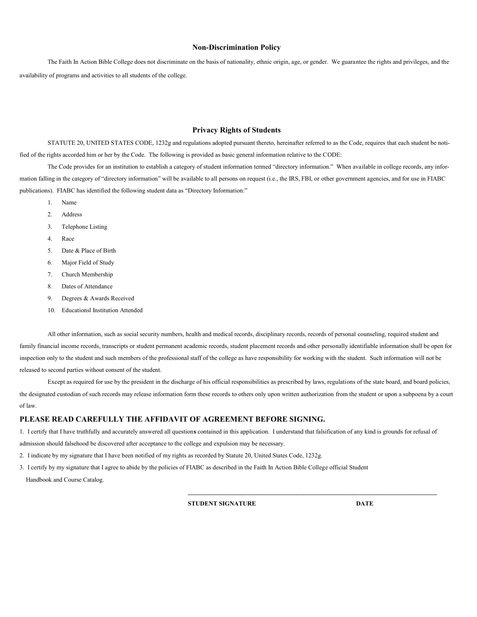#### **Non-Discrimination Policy**

The Faith In Action Bible College does not discriminate on the basis of nationality, ethnic origin, age, or gender. We guarantee the rights and privileges, and the availability of programs and activities to all students of the college.

#### **Privacy Rights of Students**

STATUTE 20, UNITED STATES CODE, 1232g and regulations adopted pursuant thereto, hereinafter referred to as the Code, requires that each student be notified of the rights accorded him or her by the Code. The following is provided as basic general information relative to the CODE:

The Code provides for an institution to establish a category of student information termed "directory information." When available in college records, any information falling in the category of "directory information" will be available to all persons on request (i.e., the IRS, FBI, or other government agencies, and for use in FIABC publications). FIABC has identified the following student data as "Directory Information:"

- 1. Name
- 2. Address
- 3. Telephone Listing
- 4. Race
- 5. Date & Place of Birth
- 6. Major Field of Study
- 7. Church Membership
- 8. Dates of Attendance
- 9. Degrees & Awards Received
- 10. Educationsl Institution Attended

All other information, such as social security numbers, health and medical records, disciplinary records, records of personal counseling, required student and family financial income records, transcripts or student permanent academic records, student placement records and other personally identifiable information shall be open for inspection only to the student and such members of the professional staff of the college as have responsibility for working with the student. Such information will not be released to second parties without consent of the student.

Except as required for use by the president in the discharge of his official responsibilities as prescribed by laws, regulations of the state board, and board policies, the designated custodian of such records may release information form these records to others only upon written authorization from the student or upon a subpoena by a court of law.

#### **PLEASE READ CAREFULLY THE AFFIDAVIT OF AGREEMENT BEFORE SIGNING.**

1. I certify that I have truthfully and accurately answered all question**s** contained in this application. I understand that falsification of any kind is grounds for refusal of admission should falsehood be discovered after acceptance to the college and expulsion may be necessary.

2. I indicate by my signature that I have been notified of my rights as recorded by Statute 20, United States Code, 1232g.

3. I certify by my signature that I agree to abide by the policies of FIABC as described in the Faith In Action Bible College official Student Handbook and Course Catalog.

**STUDENT SIGNATURE DATE**

**\_\_\_\_\_\_\_\_\_\_\_\_\_\_\_\_\_\_\_\_\_\_\_\_\_\_\_\_\_\_\_\_\_\_\_\_\_\_\_\_\_\_\_\_\_\_\_\_\_\_\_\_\_\_\_\_\_\_\_\_\_\_\_\_\_\_\_\_\_\_\_\_\_\_\_\_\_\_\_\_**